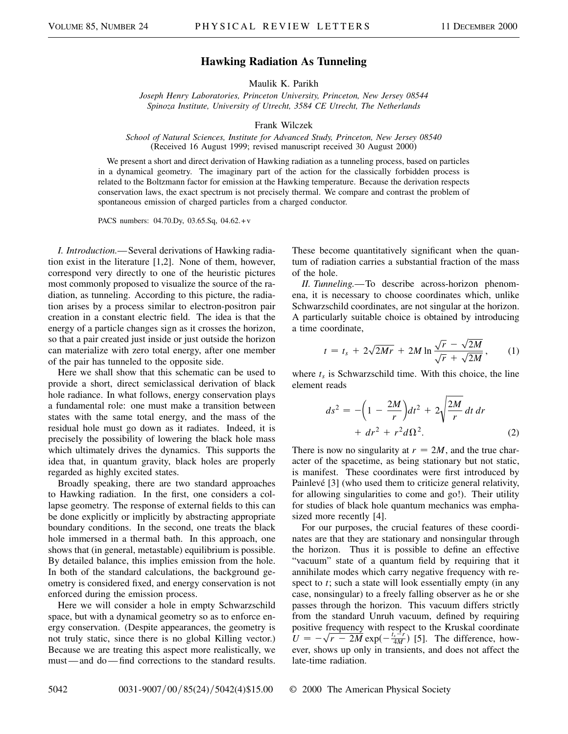## **Hawking Radiation As Tunneling**

Maulik K. Parikh

*Joseph Henry Laboratories, Princeton University, Princeton, New Jersey 08544 Spinoza Institute, University of Utrecht, 3584 CE Utrecht, The Netherlands*

Frank Wilczek

*School of Natural Sciences, Institute for Advanced Study, Princeton, New Jersey 08540* (Received 16 August 1999; revised manuscript received 30 August 2000)

We present a short and direct derivation of Hawking radiation as a tunneling process, based on particles in a dynamical geometry. The imaginary part of the action for the classically forbidden process is related to the Boltzmann factor for emission at the Hawking temperature. Because the derivation respects conservation laws, the exact spectrum is not precisely thermal. We compare and contrast the problem of spontaneous emission of charged particles from a charged conductor.

PACS numbers: 04.70.Dy, 03.65.Sq, 04.62.+v

*I. Introduction.*—Several derivations of Hawking radiation exist in the literature [1,2]. None of them, however, correspond very directly to one of the heuristic pictures most commonly proposed to visualize the source of the radiation, as tunneling. According to this picture, the radiation arises by a process similar to electron-positron pair creation in a constant electric field. The idea is that the energy of a particle changes sign as it crosses the horizon, so that a pair created just inside or just outside the horizon can materialize with zero total energy, after one member of the pair has tunneled to the opposite side.

Here we shall show that this schematic can be used to provide a short, direct semiclassical derivation of black hole radiance. In what follows, energy conservation plays a fundamental role: one must make a transition between states with the same total energy, and the mass of the residual hole must go down as it radiates. Indeed, it is precisely the possibility of lowering the black hole mass which ultimately drives the dynamics. This supports the idea that, in quantum gravity, black holes are properly regarded as highly excited states.

Broadly speaking, there are two standard approaches to Hawking radiation. In the first, one considers a collapse geometry. The response of external fields to this can be done explicitly or implicitly by abstracting appropriate boundary conditions. In the second, one treats the black hole immersed in a thermal bath. In this approach, one shows that (in general, metastable) equilibrium is possible. By detailed balance, this implies emission from the hole. In both of the standard calculations, the background geometry is considered fixed, and energy conservation is not enforced during the emission process.

Here we will consider a hole in empty Schwarzschild space, but with a dynamical geometry so as to enforce energy conservation. (Despite appearances, the geometry is not truly static, since there is no global Killing vector.) Because we are treating this aspect more realistically, we must — and do — find corrections to the standard results. These become quantitatively significant when the quantum of radiation carries a substantial fraction of the mass of the hole.

*II. Tunneling.*—To describe across-horizon phenomena, it is necessary to choose coordinates which, unlike Schwarzschild coordinates, are not singular at the horizon. A particularly suitable choice is obtained by introducing a time coordinate,

$$
t = t_s + 2\sqrt{2Mr} + 2M \ln \frac{\sqrt{r} - \sqrt{2M}}{\sqrt{r} + \sqrt{2M}},
$$
 (1)

where  $t_s$  is Schwarzschild time. With this choice, the line element reads

$$
ds^{2} = -\left(1 - \frac{2M}{r}\right)dt^{2} + 2\sqrt{\frac{2M}{r}} dt dr + dr^{2} + r^{2}d\Omega^{2}.
$$
 (2)

There is now no singularity at  $r = 2M$ , and the true character of the spacetime, as being stationary but not static, is manifest. These coordinates were first introduced by Painlevé [3] (who used them to criticize general relativity, for allowing singularities to come and go!). Their utility for studies of black hole quantum mechanics was emphasized more recently [4].

For our purposes, the crucial features of these coordinates are that they are stationary and nonsingular through the horizon. Thus it is possible to define an effective "vacuum" state of a quantum field by requiring that it annihilate modes which carry negative frequency with respect to *t*; such a state will look essentially empty (in any case, nonsingular) to a freely falling observer as he or she passes through the horizon. This vacuum differs strictly from the standard Unruh vacuum, defined by requiring positive frequency with respect to the Kruskal coordinate  $U = -\sqrt{r - 2M} \exp(-\frac{t_s - r}{4M})$  [5]. The difference, however, shows up only in transients, and does not affect the late-time radiation.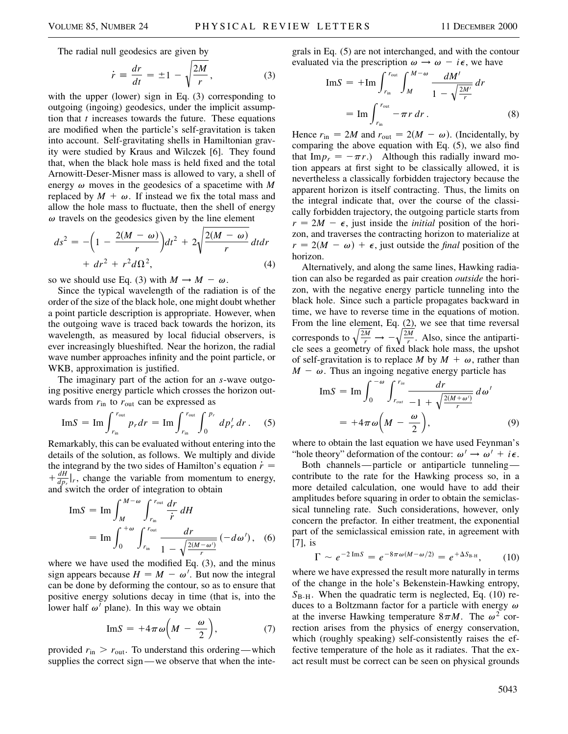The radial null geodesics are given by

$$
\dot{r} \equiv \frac{dr}{dt} = \pm 1 - \sqrt{\frac{2M}{r}},\tag{3}
$$

with the upper (lower) sign in Eq. (3) corresponding to outgoing (ingoing) geodesics, under the implicit assumption that *t* increases towards the future. These equations are modified when the particle's self-gravitation is taken into account. Self-gravitating shells in Hamiltonian gravity were studied by Kraus and Wilczek [6]. They found that, when the black hole mass is held fixed and the total Arnowitt-Deser-Misner mass is allowed to vary, a shell of energy  $\omega$  moves in the geodesics of a spacetime with M replaced by  $M + \omega$ . If instead we fix the total mass and allow the hole mass to fluctuate, then the shell of energy  $\omega$  travels on the geodesics given by the line element

$$
ds^{2} = -\left(1 - \frac{2(M - \omega)}{r}\right)dt^{2} + 2\sqrt{\frac{2(M - \omega)}{r}}dt dr
$$

$$
+ dr^{2} + r^{2}d\Omega^{2}, \qquad (4)
$$

so we should use Eq. (3) with  $M \to M - \omega$ .

Since the typical wavelength of the radiation is of the order of the size of the black hole, one might doubt whether a point particle description is appropriate. However, when the outgoing wave is traced back towards the horizon, its wavelength, as measured by local fiducial observers, is ever increasingly blueshifted. Near the horizon, the radial wave number approaches infinity and the point particle, or WKB, approximation is justified.

The imaginary part of the action for an *s*-wave outgoing positive energy particle which crosses the horizon outwards from  $r_{\text{in}}$  to  $r_{\text{out}}$  can be expressed as

$$
ImS = Im \int_{r_{\rm in}}^{r_{\rm out}} p_r dr = Im \int_{r_{\rm in}}^{r_{\rm out}} \int_0^{p_r} dp'_r dr.
$$
 (5)

Remarkably, this can be evaluated without entering into the details of the solution, as follows. We multiply and divide the integrand by the two sides of Hamilton's equation  $\dot{r}$  =  $+\frac{dH}{dp}$ , change the variable from momentum to energy, and switch the order of integration to obtain

$$
\text{Im} S = \text{Im} \int_{M}^{M-\omega} \int_{r_{\text{in}}}^{r_{\text{out}}} \frac{dr}{\dot{r}} \, dH
$$
  
= 
$$
\text{Im} \int_{0}^{+\omega} \int_{r_{\text{in}}}^{r_{\text{out}}} \frac{dr}{1 - \sqrt{\frac{2(M-\omega')}{r}}} \left( -d\omega' \right), \quad (6)
$$

where we have used the modified Eq. (3), and the minus sign appears because  $H = M - \omega'$ . But now the integral can be done by deforming the contour, so as to ensure that positive energy solutions decay in time (that is, into the lower half  $\omega'$  plane). In this way we obtain

$$
ImS = +4\pi \omega \bigg( M - \frac{\omega}{2} \bigg), \qquad (7)
$$

provided  $r_{\text{in}} > r_{\text{out}}$ . To understand this ordering—which supplies the correct sign—we observe that when the integrals in Eq. (5) are not interchanged, and with the contour evaluated via the prescription  $\omega \rightarrow \omega - i\epsilon$ , we have

$$
\text{Im} S = + \text{Im} \int_{r_{\text{in}}}^{r_{\text{out}}} \int_{M}^{M-\omega} \frac{dM'}{1 - \sqrt{\frac{2M'}{r}}} dr
$$

$$
= \text{Im} \int_{r_{\text{in}}}^{r_{\text{out}}} - \pi r dr . \tag{8}
$$

Hence  $r_{\text{in}} = 2M$  and  $r_{\text{out}} = 2(M - \omega)$ . (Incidentally, by comparing the above equation with Eq. (5), we also find that Im $p_r = -\pi r$ .) Although this radially inward motion appears at first sight to be classically allowed, it is nevertheless a classically forbidden trajectory because the apparent horizon is itself contracting. Thus, the limits on the integral indicate that, over the course of the classically forbidden trajectory, the outgoing particle starts from  $r = 2M - \epsilon$ , just inside the *initial* position of the horizon, and traverses the contracting horizon to materialize at  $r = 2(M - \omega) + \epsilon$ , just outside the *final* position of the horizon.

Alternatively, and along the same lines, Hawking radiation can also be regarded as pair creation *outside* the horizon, with the negative energy particle tunneling into the black hole. Since such a particle propagates backward in time, we have to reverse time in the equations of motion. From the line element, Eq.  $(2)$ , we see that time reversal corresponds to  $\sqrt{\frac{2M}{r}} \rightarrow \frac{Q}{2M}$  $\frac{m}{r}$ . Also, since the antiparticle sees a geometry of fixed black hole mass, the upshot of self-gravitation is to replace M by  $M + \omega$ , rather than  $M - \omega$ . Thus an ingoing negative energy particle has

$$
\text{Im} S = \text{Im} \int_0^{-\omega} \int_{r_{\text{out}}}^{r_{\text{in}}} \frac{dr}{-1 + \sqrt{\frac{2(M + \omega')}{r}}} d\omega'
$$

$$
= +4\pi \omega \bigg(M - \frac{\omega}{2}\bigg), \tag{9}
$$

where to obtain the last equation we have used Feynman's "hole theory" deformation of the contour:  $\omega' \rightarrow \omega' + i\epsilon$ .

Both channels—particle or antiparticle tunneling contribute to the rate for the Hawking process so, in a more detailed calculation, one would have to add their amplitudes before squaring in order to obtain the semiclassical tunneling rate. Such considerations, however, only concern the prefactor. In either treatment, the exponential part of the semiclassical emission rate, in agreement with [7], is

$$
\Gamma \sim e^{-2 \operatorname{Im} S} = e^{-8\pi \omega (M - \omega/2)} = e^{+\Delta S_{\text{B-H}}}, \quad (10)
$$

where we have expressed the result more naturally in terms of the change in the hole's Bekenstein-Hawking entropy,  $S_{\text{B-H}}$ . When the quadratic term is neglected, Eq. (10) reduces to a Boltzmann factor for a particle with energy  $\omega$ at the inverse Hawking temperature  $8\pi M$ . The  $\omega^2$  correction arises from the physics of energy conservation, which (roughly speaking) self-consistently raises the effective temperature of the hole as it radiates. That the exact result must be correct can be seen on physical grounds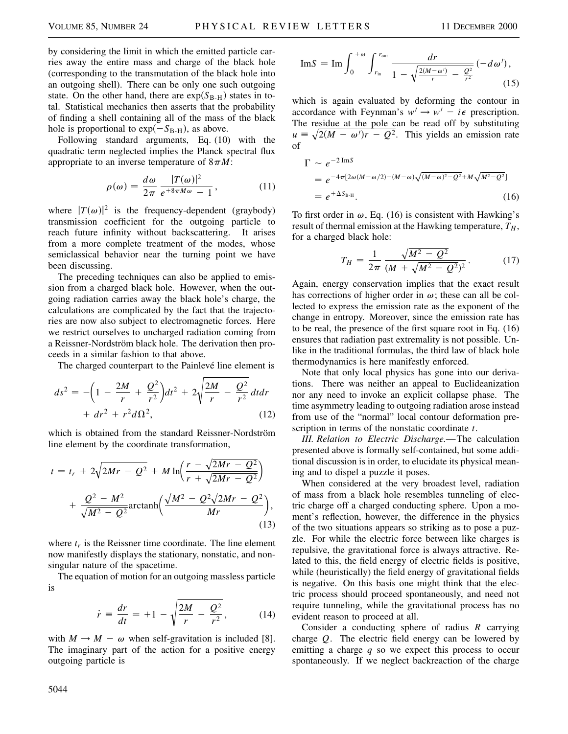by considering the limit in which the emitted particle carries away the entire mass and charge of the black hole (corresponding to the transmutation of the black hole into an outgoing shell). There can be only one such outgoing state. On the other hand, there are  $exp(S_{B-H})$  states in total. Statistical mechanics then asserts that the probability of finding a shell containing all of the mass of the black hole is proportional to  $\exp(-S_{\text{B-H}})$ , as above.

Following standard arguments, Eq. (10) with the quadratic term neglected implies the Planck spectral flux appropriate to an inverse temperature of  $8\pi M$ :

$$
\rho(\omega) = \frac{d\omega}{2\pi} \frac{|T(\omega)|^2}{e^{+8\pi M\omega} - 1},\tag{11}
$$

where  $|T(\omega)|^2$  is the frequency-dependent (graybody) transmission coefficient for the outgoing particle to reach future infinity without backscattering. It arises from a more complete treatment of the modes, whose semiclassical behavior near the turning point we have been discussing.

The preceding techniques can also be applied to emission from a charged black hole. However, when the outgoing radiation carries away the black hole's charge, the calculations are complicated by the fact that the trajectories are now also subject to electromagnetic forces. Here we restrict ourselves to uncharged radiation coming from a Reissner-Nordström black hole. The derivation then proceeds in a similar fashion to that above.

The charged counterpart to the Painlevé line element is

$$
ds^{2} = -\left(1 - \frac{2M}{r} + \frac{Q^{2}}{r^{2}}\right)dt^{2} + 2\sqrt{\frac{2M}{r} - \frac{Q^{2}}{r^{2}}} dt dr
$$
  
+  $dr^{2} + r^{2} d\Omega^{2}$ , (12)

which is obtained from the standard Reissner-Nordström line element by the coordinate transformation,

$$
t = t_r + 2\sqrt{2Mr - Q^2} + M \ln\left(\frac{r - \sqrt{2Mr - Q^2}}{r + \sqrt{2Mr - Q^2}}\right) + \frac{Q^2 - M^2}{\sqrt{M^2 - Q^2}} \text{arctanh}\left(\frac{\sqrt{M^2 - Q^2}\sqrt{2Mr - Q^2}}{Mr}\right),\tag{13}
$$

where  $t_r$  is the Reissner time coordinate. The line element now manifestly displays the stationary, nonstatic, and nonsingular nature of the spacetime.

The equation of motion for an outgoing massless particle is

$$
\dot{r} = \frac{dr}{dt} = +1 - \sqrt{\frac{2M}{r} - \frac{Q^2}{r^2}},
$$
 (14)

with  $M \rightarrow M - \omega$  when self-gravitation is included [8]. The imaginary part of the action for a positive energy outgoing particle is

$$
\text{Im} S = \text{Im} \int_0^{+\omega} \int_{r_{\text{in}}}^{r_{\text{out}}} \frac{dr}{1 - \sqrt{\frac{2(M - \omega')}{r} - \frac{Q^2}{r^2}}} (-d\omega'), \tag{15}
$$

which is again evaluated by deforming the contour in accordance with Feynman's  $w' \rightarrow w' - i\epsilon$  prescription. The residue at the pole can be read off by substituting  $u = \sqrt{2(M - \omega')r - Q^2}$ . This yields an emission rate of

$$
\Gamma \sim e^{-2 \operatorname{Im} S}
$$
  
=  $e^{-4\pi [2\omega (M - \omega/2) - (M - \omega)\sqrt{(M - \omega)^2 - Q^2} + M\sqrt{M^2 - Q^2}]}$   
=  $e^{+ \Delta S_{\text{B-H}}}$ . (16)

To first order in  $\omega$ , Eq. (16) is consistent with Hawking's result of thermal emission at the Hawking temperature,  $T_H$ , for a charged black hole:

$$
T_H = \frac{1}{2\pi} \frac{\sqrt{M^2 - Q^2}}{(M + \sqrt{M^2 - Q^2})^2}.
$$
 (17)

Again, energy conservation implies that the exact result has corrections of higher order in  $\omega$ ; these can all be collected to express the emission rate as the exponent of the change in entropy. Moreover, since the emission rate has to be real, the presence of the first square root in Eq. (16) ensures that radiation past extremality is not possible. Unlike in the traditional formulas, the third law of black hole thermodynamics is here manifestly enforced.

Note that only local physics has gone into our derivations. There was neither an appeal to Euclideanization nor any need to invoke an explicit collapse phase. The time asymmetry leading to outgoing radiation arose instead from use of the "normal" local contour deformation prescription in terms of the nonstatic coordinate *t*.

*III. Relation to Electric Discharge.*—The calculation presented above is formally self-contained, but some additional discussion is in order, to elucidate its physical meaning and to dispel a puzzle it poses.

When considered at the very broadest level, radiation of mass from a black hole resembles tunneling of electric charge off a charged conducting sphere. Upon a moment's reflection, however, the difference in the physics of the two situations appears so striking as to pose a puzzle. For while the electric force between like charges is repulsive, the gravitational force is always attractive. Related to this, the field energy of electric fields is positive, while (heuristically) the field energy of gravitational fields is negative. On this basis one might think that the electric process should proceed spontaneously, and need not require tunneling, while the gravitational process has no evident reason to proceed at all.

Consider a conducting sphere of radius *R* carrying charge *Q*. The electric field energy can be lowered by emitting a charge *q* so we expect this process to occur spontaneously. If we neglect backreaction of the charge